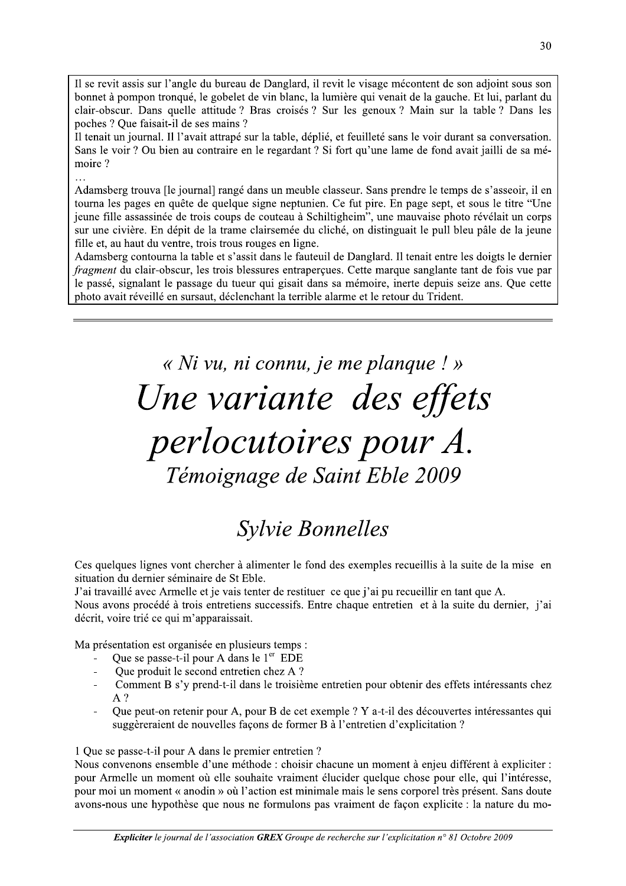Il se revit assis sur l'angle du bureau de Danglard, il revit le visage mécontent de son adjoint sous son bonnet à pompon tronqué, le gobelet de vin blanc, la lumière qui venait de la gauche. Et lui, parlant du clair-obscur. Dans quelle attitude ? Bras croisés ? Sur les genoux ? Main sur la table ? Dans les poches ? Oue faisait-il de ses mains ?

Il tenait un journal. Il l'avait attrapé sur la table, déplié, et feuilleté sans le voir durant sa conversation. Sans le voir ? Ou bien au contraire en le regardant ? Si fort qu'une lame de fond avait jailli de sa mémoire?

Adamsberg trouva [le journal] rangé dans un meuble classeur. Sans prendre le temps de s'asseoir, il en tourna les pages en quête de quelque signe neptunien. Ce fut pire. En page sept, et sous le titre "Une" jeune fille assassinée de trois coups de couteau à Schiltigheim", une mauvaise photo révélait un corps sur une civière. En dépit de la trame clairsemée du cliché, on distinguait le pull bleu pâle de la jeune fille et, au haut du ventre, trois trous rouges en ligne.

Adamsberg contourna la table et s'assit dans le fauteuil de Danglard. Il tenait entre les doigts le dernier fragment du clair-obscur, les trois blessures entraperçues. Cette marque sanglante tant de fois vue par le passé, signalant le passage du tueur qui gisait dans sa mémoire, inerte depuis seize ans. Que cette photo avait réveillé en sursaut, déclenchant la terrible alarme et le retour du Trident.

> « Ni vu, ni connu, je me planque ! » Une variante des effets perlocutoires pour A. Témoignage de Saint Eble 2009

## **Sylvie Bonnelles**

Ces quelques lignes vont chercher à alimenter le fond des exemples recueillis à la suite de la mise en situation du dernier séminaire de St Eble.

J'ai travaillé avec Armelle et je vais tenter de restituer ce que j'ai pu recueillir en tant que A.

Nous avons procédé à trois entretiens successifs. Entre chaque entretien et à la suite du dernier, j'ai décrit, voire trié ce qui m'apparaissait.

Ma présentation est organisée en plusieurs temps :

- Que se passe-t-il pour A dans le 1<sup>er</sup> EDE
- Que produit le second entretien chez A ?
- Comment B s'y prend-t-il dans le troisième entretien pour obtenir des effets intéressants chez  $\overline{a}$  $A<sup>2</sup>$
- Oue peut-on retenir pour A, pour B de cet exemple ? Y a-t-il des découvertes intéressantes qui  $\overline{a}$ suggèreraient de nouvelles façons de former B à l'entretien d'explicitation ?

## 1 Que se passe-t-il pour A dans le premier entretien ?

Nous convenons ensemble d'une méthode : choisir chacune un moment à enjeu différent à expliciter : pour Armelle un moment où elle souhaite vraiment élucider quelque chose pour elle, qui l'intéresse, pour moi un moment « anodin » où l'action est minimale mais le sens corporel très présent. Sans doute avons-nous une hypothèse que nous ne formulons pas vraiment de façon explicite : la nature du mo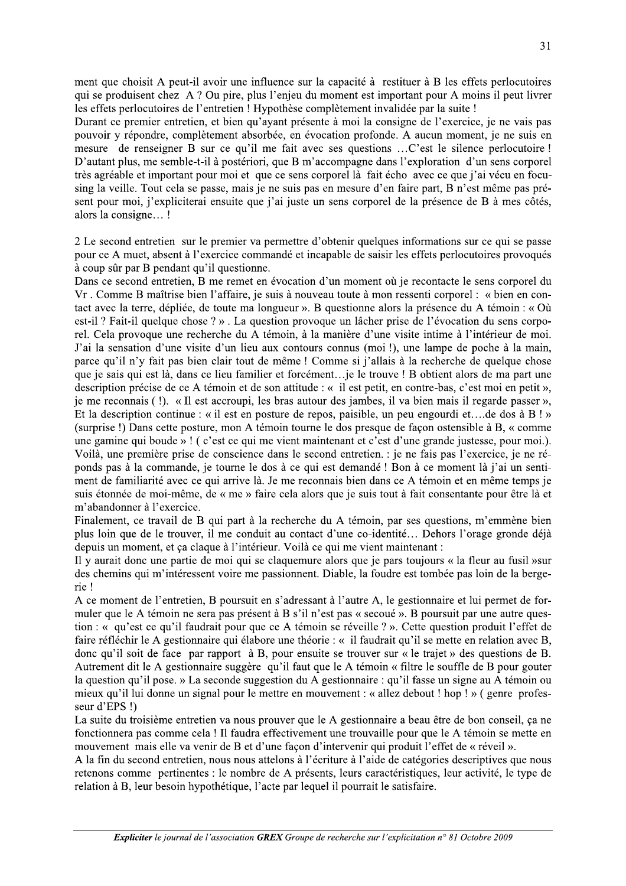ment que choisit A peut-il avoir une influence sur la capacité à restituer à B les effets perlocutoires qui se produisent chez A ? Ou pire, plus l'enjeu du moment est important pour A moins il peut livrer les effets perlocutoires de l'entretien ! Hypothèse complètement invalidée par la suite !

Durant ce premier entretien, et bien qu'avant présente à moi la consigne de l'exercice, je ne vais pas pouvoir y répondre, complètement absorbée, en évocation profonde. A aucun moment, je ne suis en mesure de renseigner B sur ce qu'il me fait avec ses questions ...C'est le silence perlocutoire ! D'autant plus, me semble-t-il à postériori, que B m'accompagne dans l'exploration d'un sens corporel très agréable et important pour moi et que ce sens corporel là fait écho avec ce que j'ai vécu en focusing la veille. Tout cela se passe, mais je ne suis pas en mesure d'en faire part, B n'est même pas présent pour moi, j'expliciterai ensuite que j'ai juste un sens corporel de la présence de B à mes côtés, alors la consigne...!

2 Le second entretien sur le premier va permettre d'obtenir quelques informations sur ce qui se passe pour ce A muet, absent à l'exercice commandé et incapable de saisir les effets perlocutoires provoqués à coup sûr par B pendant qu'il questionne.

Dans ce second entretien, B me remet en évocation d'un moment où je recontacte le sens corporel du Vr. Comme B maîtrise bien l'affaire, je suis à nouveau toute à mon ressenti corporel : « bien en contact avec la terre, dépliée, de toute ma longueur ». B questionne alors la présence du A témoin : « Où est-il ? Fait-il quelque chose ? ». La question provoque un lâcher prise de l'évocation du sens corporel. Cela provoque une recherche du A témoin, à la manière d'une visite intime à l'intérieur de moi. J'ai la sensation d'une visite d'un lieu aux contours connus (moi !), une lampe de poche à la main, parce qu'il n'y fait pas bien clair tout de même ! Comme si j'allais à la recherche de quelque chose que je sais qui est là, dans ce lieu familier et forcément...je le trouve ! B obtient alors de ma part une description précise de ce A témoin et de son attitude : « il est petit, en contre-bas, c'est moi en petit », je me reconnais (!). «Il est accroupi, les bras autour des jambes, il va bien mais il regarde passer», Et la description continue : « il est en posture de repos, paisible, un peu engourdi et... de dos à B! » (surprise!) Dans cette posture, mon A témoin tourne le dos presque de façon ostensible à B, « comme une gamine qui boude »! (c'est ce qui me vient maintenant et c'est d'une grande justesse, pour moi.). Voilà, une première prise de conscience dans le second entretien. : je ne fais pas l'exercice, je ne réponds pas à la commande, je tourne le dos à ce qui est demandé ! Bon à ce moment là j'ai un sentiment de familiarité avec ce qui arrive là. Je me reconnais bien dans ce A témoin et en même temps je suis étonnée de moi-même, de « me » faire cela alors que je suis tout à fait consentante pour être là et m'abandonner à l'exercice.

Finalement, ce travail de B qui part à la recherche du A témoin, par ses questions, m'emmène bien plus loin que de le trouver, il me conduit au contact d'une co-identité... Dehors l'orage gronde déjà depuis un moment, et ça claque à l'intérieur. Voilà ce qui me vient maintenant :

Il y aurait donc une partie de moi qui se claquemure alors que je pars toujours « la fleur au fusil » sur des chemins qui m'intéressent voire me passionnent. Diable, la foudre est tombée pas loin de la bergerie!

A ce moment de l'entretien, B poursuit en s'adressant à l'autre A, le gestionnaire et lui permet de formuler que le A témoin ne sera pas présent à B s'il n'est pas « secoué ». B poursuit par une autre question : « qu'est ce qu'il faudrait pour que ce A témoin se réveille ? ». Cette question produit l'effet de faire réfléchir le A gestionnaire qui élabore une théorie : « il faudrait qu'il se mette en relation avec B, donc qu'il soit de face par rapport à B, pour ensuite se trouver sur « le trajet » des questions de B. Autrement dit le A gestionnaire suggère qu'il faut que le A témoin « filtre le souffle de B pour gouter la question qu'il pose. » La seconde suggestion du A gestionnaire : qu'il fasse un signe au A témoin ou mieux qu'il lui donne un signal pour le mettre en mouvement : « allez debout ! hop ! » ( genre professeur d'EPS!)

La suite du troisième entretien va nous prouver que le A gestionnaire a beau être de bon conseil, ca ne fonctionnera pas comme cela ! Il faudra effectivement une trouvaille pour que le A témoin se mette en mouvement mais elle va venir de B et d'une façon d'intervenir qui produit l'effet de « réveil ».

A la fin du second entretien, nous nous attelons à l'écriture à l'aide de catégories descriptives que nous retenons comme pertinentes : le nombre de A présents, leurs caractéristiques, leur activité, le type de relation à B, leur besoin hypothétique, l'acte par lequel il pourrait le satisfaire.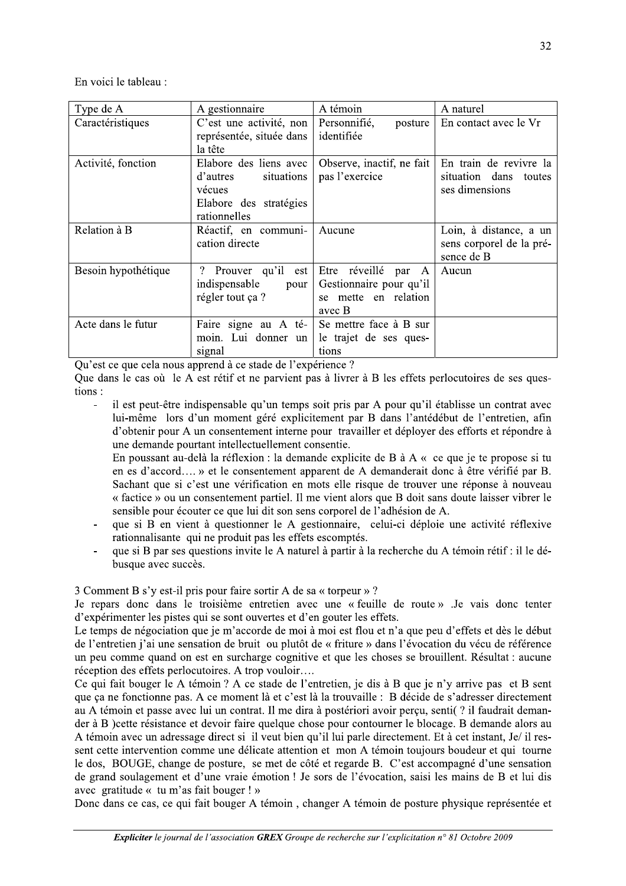En voici le tableau :

| Type de A           | A gestionnaire                                                                                       | A témoin                                                                                  | A naturel                                                            |
|---------------------|------------------------------------------------------------------------------------------------------|-------------------------------------------------------------------------------------------|----------------------------------------------------------------------|
| Caractéristiques    | C'est une activité, non<br>représentée, située dans<br>la tête                                       | Personnifié,<br>posture<br>identifiée                                                     | En contact avec le Vr                                                |
| Activité, fonction  | Elabore des liens avec<br>situations<br>d'autres<br>vécues<br>Elabore des stratégies<br>rationnelles | Observe, inactif, ne fait<br>pas l'exercice                                               | En train de revivre la<br>situation dans<br>toutes<br>ses dimensions |
| Relation à B        | Réactif, en communi-<br>cation directe                                                               | Aucune                                                                                    | Loin, à distance, a un<br>sens corporel de la pré-<br>sence de B     |
| Besoin hypothétique | ?<br>Prouver qu'il<br>est<br>indispensable<br>pour<br>régler tout ça ?                               | Etre réveillé<br>par<br>A<br>Gestionnaire pour qu'il<br>mette en relation<br>se<br>avec B | Aucun                                                                |
| Acte dans le futur  | Faire signe au A té-<br>moin. Lui donner un<br>signal                                                | Se mettre face à B sur<br>le trajet de ses ques-<br>tions                                 |                                                                      |

Qu'est ce que cela nous apprend à ce stade de l'expérience ?

Que dans le cas où le A est rétif et ne parvient pas à livrer à B les effets perlocutoires de ses questions:

il est peut-être indispensable qu'un temps soit pris par A pour qu'il établisse un contrat avec lui-même lors d'un moment géré explicitement par B dans l'antédébut de l'entretien, afin d'obtenir pour A un consentement interne pour travailler et déployer des efforts et répondre à une demande pourtant intellectuellement consentie.

En poussant au-delà la réflexion : la demande explicite de B à A « ce que je te propose si tu en es d'accord.... » et le consentement apparent de A demanderait donc à être vérifié par B. Sachant que si c'est une vérification en mots elle risque de trouver une réponse à nouveau « factice » ou un consentement partiel. Il me vient alors que B doit sans doute laisser vibrer le sensible pour écouter ce que lui dit son sens corporel de l'adhésion de A.

- que si B en vient à questionner le A gestionnaire, celui-ci déploie une activité réflexive rationnalisante qui ne produit pas les effets escomptés.
- que si B par ses questions invite le A naturel à partir à la recherche du A témoin rétif : il le débusque avec succès.

3 Comment B s'y est-il pris pour faire sortir A de sa « torpeur » ?

Je repars donc dans le troisième entretien avec une « feuille de route » .Je vais donc tenter d'expérimenter les pistes qui se sont ouvertes et d'en gouter les effets.

Le temps de négociation que je m'accorde de moi à moi est flou et n'a que peu d'effets et dès le début de l'entretien j'ai une sensation de bruit ou plutôt de « friture » dans l'évocation du vécu de référence un peu comme quand on est en surcharge cognitive et que les choses se brouillent. Résultat : aucune réception des effets perlocutoires. A trop vouloir....

Ce qui fait bouger le A témoin ? A ce stade de l'entretien, je dis à B que je n'y arrive pas et B sent que ca ne fonctionne pas. A ce moment là et c'est là la trouvaille : B décide de s'adresser directement au A témoin et passe avec lui un contrat. Il me dira à postériori avoir perçu, senti(? il faudrait demander à B ) cette résistance et devoir faire quelque chose pour contourner le blocage. B demande alors au A témoin avec un adressage direct si il veut bien qu'il lui parle directement. Et à cet instant, Je/ il ressent cette intervention comme une délicate attention et mon A témoin toujours boudeur et qui tourne le dos, BOUGE, change de posture, se met de côté et regarde B. C'est accompagné d'une sensation de grand soulagement et d'une vraie émotion ! Je sors de l'évocation, saisi les mains de B et lui dis avec gratitude  $\kappa$  tu m'as fait bouger ! »

Donc dans ce cas, ce qui fait bouger A témoin, changer A témoin de posture physique représentée et